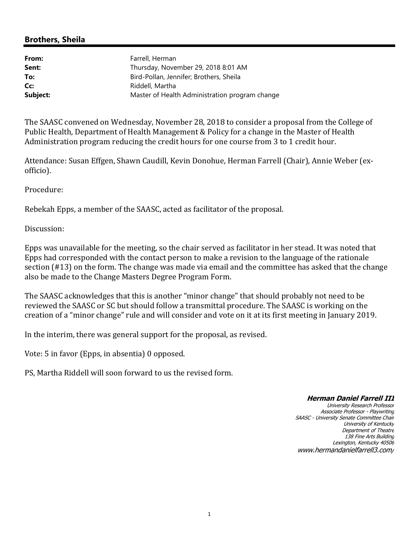# **Brothers, Sheila**

| Farrell, Herman                                |
|------------------------------------------------|
| Thursday, November 29, 2018 8:01 AM            |
| Bird-Pollan, Jennifer; Brothers, Sheila        |
| Riddell, Martha                                |
| Master of Health Administration program change |
|                                                |

The SAASC convened on Wednesday, November 28, 2018 to consider a proposal from the College of Public Health, Department of Health Management & Policy for a change in the Master of Health Administration program reducing the credit hours for one course from 3 to 1 credit hour.

Attendance: Susan Effgen, Shawn Caudill, Kevin Donohue, Herman Farrell (Chair), Annie Weber (exofficio).

Procedure:

Rebekah Epps, a member of the SAASC, acted as facilitator of the proposal.

Discussion:

Epps was unavailable for the meeting, so the chair served as facilitator in her stead. It was noted that Epps had corresponded with the contact person to make a revision to the language of the rationale section (#13) on the form. The change was made via email and the committee has asked that the change also be made to the Change Masters Degree Program Form.

The SAASC acknowledges that this is another "minor change" that should probably not need to be reviewed the SAASC or SC but should follow a transmittal procedure. The SAASC is working on the creation of a "minor change" rule and will consider and vote on it at its first meeting in January 2019.

In the interim, there was general support for the proposal, as revised.

Vote: 5 in favor (Epps, in absentia) 0 opposed.

PS, Martha Riddell will soon forward to us the revised form.

#### **Herman Daniel Farrell III**

University Research Professor Associate Professor - Playwriting SAASC - University Senate Committee Chair University of Kentucky Department of Theatre 138 Fine Arts Building Lexington, Kentucky 40506 www.hermandanielfarrell3.com/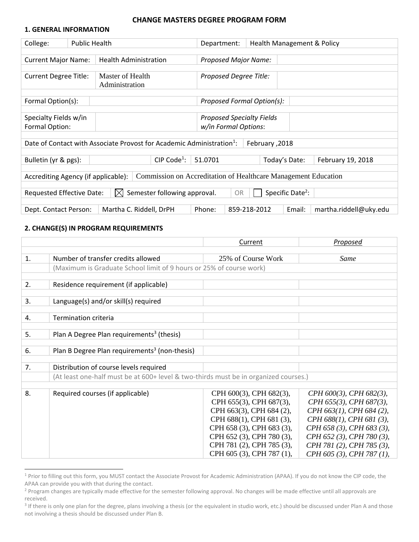### **CHANGE MASTERS DEGREE PROGRAM FORM**

#### **1. GENERAL INFORMATION**

| College:                                                                                                         | <b>Public Health</b> |                                    | Department:            |              | Health Management & Policy |                        |
|------------------------------------------------------------------------------------------------------------------|----------------------|------------------------------------|------------------------|--------------|----------------------------|------------------------|
| <b>Current Major Name:</b>                                                                                       |                      | <b>Health Administration</b>       | Proposed Major Name:   |              |                            |                        |
| <b>Current Degree Title:</b>                                                                                     |                      | Master of Health<br>Administration | Proposed Degree Title: |              |                            |                        |
| Proposed Formal Option(s):<br>Formal Option(s):                                                                  |                      |                                    |                        |              |                            |                        |
| Specialty Fields w/in<br><b>Proposed Specialty Fields</b>                                                        |                      |                                    |                        |              |                            |                        |
| Formal Option:                                                                                                   | w/in Formal Options: |                                    |                        |              |                            |                        |
| Date of Contact with Associate Provost for Academic Administration <sup>1</sup> :<br>February, 2018              |                      |                                    |                        |              |                            |                        |
| CIP Code <sup>1</sup> :<br>Bulletin (yr & pgs):<br>51.0701<br>February 19, 2018<br>Today's Date:                 |                      |                                    |                        |              |                            |                        |
| Commission on Accreditation of Healthcare Management Education<br>Accrediting Agency (if applicable):            |                      |                                    |                        |              |                            |                        |
| Specific Date <sup>2</sup> :<br>Semester following approval.<br>Requested Effective Date:<br>$\mathbb{X}$<br>OR. |                      |                                    |                        |              |                            |                        |
| Dept. Contact Person:                                                                                            |                      | Martha C. Riddell, DrPH            | Phone:                 | 859-218-2012 | Email:                     | martha.riddell@uky.edu |

#### **2. CHANGE(S) IN PROGRAM REQUIREMENTS**

 $\overline{a}$ 

|    |                                                                                      | Current                   | Proposed                   |  |  |  |  |
|----|--------------------------------------------------------------------------------------|---------------------------|----------------------------|--|--|--|--|
|    |                                                                                      |                           |                            |  |  |  |  |
| 1. | Number of transfer credits allowed                                                   | 25% of Course Work        | Same                       |  |  |  |  |
|    | (Maximum is Graduate School limit of 9 hours or 25% of course work)                  |                           |                            |  |  |  |  |
|    |                                                                                      |                           |                            |  |  |  |  |
| 2. | Residence requirement (if applicable)                                                |                           |                            |  |  |  |  |
|    |                                                                                      |                           |                            |  |  |  |  |
| 3. | Language(s) and/or skill(s) required                                                 |                           |                            |  |  |  |  |
|    |                                                                                      |                           |                            |  |  |  |  |
| 4. | Termination criteria                                                                 |                           |                            |  |  |  |  |
| 5. | Plan A Degree Plan requirements <sup>3</sup> (thesis)                                |                           |                            |  |  |  |  |
|    |                                                                                      |                           |                            |  |  |  |  |
| 6. | Plan B Degree Plan requirements <sup>3</sup> (non-thesis)                            |                           |                            |  |  |  |  |
|    |                                                                                      |                           |                            |  |  |  |  |
| 7. | Distribution of course levels required                                               |                           |                            |  |  |  |  |
|    | (At least one-half must be at 600+ level & two-thirds must be in organized courses.) |                           |                            |  |  |  |  |
|    |                                                                                      |                           |                            |  |  |  |  |
| 8. | Required courses (if applicable)                                                     | CPH 600(3), CPH 682(3),   | $CPH 600(3)$ , CPH 682(3), |  |  |  |  |
|    |                                                                                      | CPH 655(3), CPH 687(3),   | CPH 655(3), CPH 687(3),    |  |  |  |  |
|    |                                                                                      | CPH 663(3), CPH 684 (2),  | CPH 663(1), CPH 684 (2),   |  |  |  |  |
|    |                                                                                      | CPH 688(1), CPH 681 (3),  | CPH 688(1), CPH 681 (3),   |  |  |  |  |
|    |                                                                                      | CPH 658 (3), CPH 683 (3), | CPH 658 (3), CPH 683 (3),  |  |  |  |  |
|    |                                                                                      | CPH 652 (3), CPH 780 (3), | CPH 652 (3), CPH 780 (3),  |  |  |  |  |
|    |                                                                                      | CPH 781 (2), CPH 785 (3), | CPH 781 (2), CPH 785 (3),  |  |  |  |  |
|    |                                                                                      | CPH 605 (3), CPH 787 (1), | CPH 605 (3), CPH 787 (1),  |  |  |  |  |

<sup>1</sup> Prior to filling out this form, you MUST contact the Associate Provost for Academic Administration (APAA). If you do not know the CIP code, the APAA can provide you with that during the contact.

<sup>&</sup>lt;sup>2</sup> Program changes are typically made effective for the semester following approval. No changes will be made effective until all approvals are received.

<sup>&</sup>lt;sup>3</sup> If there is only one plan for the degree, plans involving a thesis (or the equivalent in studio work, etc.) should be discussed under Plan A and those not involving a thesis should be discussed under Plan B.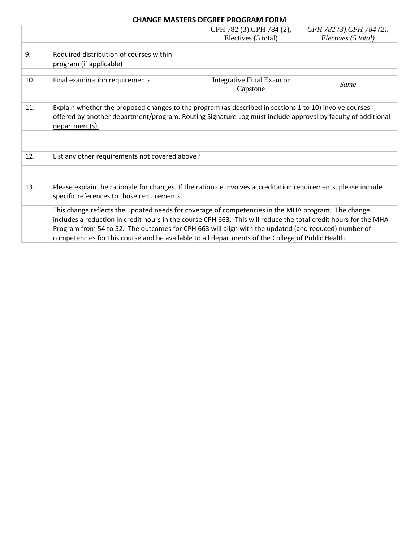## **CHANGE MASTERS DEGREE PROGRAM FORM**

|     |                                                                                                                 | CPH 782 (3), CPH 784 (2), | CPH 782 (3), CPH 784 (2), |  |  |
|-----|-----------------------------------------------------------------------------------------------------------------|---------------------------|---------------------------|--|--|
|     |                                                                                                                 | Electives (5 total)       | Electives (5 total)       |  |  |
|     |                                                                                                                 |                           |                           |  |  |
| 9.  | Required distribution of courses within                                                                         |                           |                           |  |  |
|     | program (if applicable)                                                                                         |                           |                           |  |  |
|     |                                                                                                                 |                           |                           |  |  |
| 10. | Final examination requirements                                                                                  | Integrative Final Exam or |                           |  |  |
|     |                                                                                                                 | Capstone                  | Same                      |  |  |
|     |                                                                                                                 |                           |                           |  |  |
| 11. | Explain whether the proposed changes to the program (as described in sections 1 to 10) involve courses          |                           |                           |  |  |
|     |                                                                                                                 |                           |                           |  |  |
|     | offered by another department/program. Routing Signature Log must include approval by faculty of additional     |                           |                           |  |  |
|     | department(s).                                                                                                  |                           |                           |  |  |
|     |                                                                                                                 |                           |                           |  |  |
|     |                                                                                                                 |                           |                           |  |  |
|     |                                                                                                                 |                           |                           |  |  |
| 12. | List any other requirements not covered above?                                                                  |                           |                           |  |  |
|     |                                                                                                                 |                           |                           |  |  |
|     |                                                                                                                 |                           |                           |  |  |
| 13. | Please explain the rationale for changes. If the rationale involves accreditation requirements, please include  |                           |                           |  |  |
|     |                                                                                                                 |                           |                           |  |  |
|     | specific references to those requirements.                                                                      |                           |                           |  |  |
|     | This change reflects the updated needs for coverage of competencies in the MHA program. The change              |                           |                           |  |  |
|     | includes a reduction in credit hours in the course CPH 663. This will reduce the total credit hours for the MHA |                           |                           |  |  |
|     |                                                                                                                 |                           |                           |  |  |
|     | Program from 54 to 52. The outcomes for CPH 663 will align with the updated (and reduced) number of             |                           |                           |  |  |
|     | competencies for this course and be available to all departments of the College of Public Health.               |                           |                           |  |  |